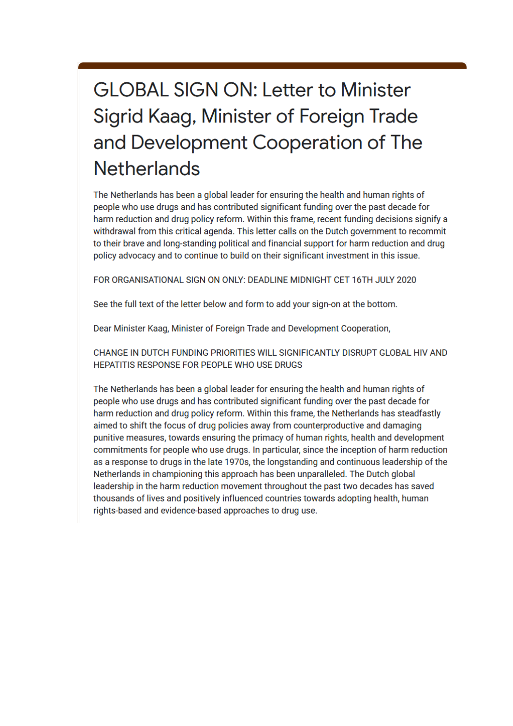## **GLOBAL SIGN ON: Letter to Minister** Sigrid Kaag, Minister of Foreign Trade and Development Cooperation of The **Netherlands**

The Netherlands has been a global leader for ensuring the health and human rights of people who use drugs and has contributed significant funding over the past decade for harm reduction and drug policy reform. Within this frame, recent funding decisions signify a withdrawal from this critical agenda. This letter calls on the Dutch government to recommit to their brave and long-standing political and financial support for harm reduction and drug policy advocacy and to continue to build on their significant investment in this issue.

FOR ORGANISATIONAL SIGN ON ONLY: DEADLINE MIDNIGHT CET 16TH JULY 2020

See the full text of the letter below and form to add your sign-on at the bottom.

Dear Minister Kaag, Minister of Foreign Trade and Development Cooperation,

CHANGE IN DUTCH FUNDING PRIORITIES WILL SIGNIFICANTLY DISRUPT GLOBAL HIV AND HEPATITIS RESPONSE FOR PEOPLE WHO USE DRUGS

The Netherlands has been a global leader for ensuring the health and human rights of people who use drugs and has contributed significant funding over the past decade for harm reduction and drug policy reform. Within this frame, the Netherlands has steadfastly aimed to shift the focus of drug policies away from counterproductive and damaging punitive measures, towards ensuring the primacy of human rights, health and development commitments for people who use drugs. In particular, since the inception of harm reduction as a response to drugs in the late 1970s, the longstanding and continuous leadership of the Netherlands in championing this approach has been unparalleled. The Dutch global leadership in the harm reduction movement throughout the past two decades has saved thousands of lives and positively influenced countries towards adopting health, human rights-based and evidence-based approaches to drug use.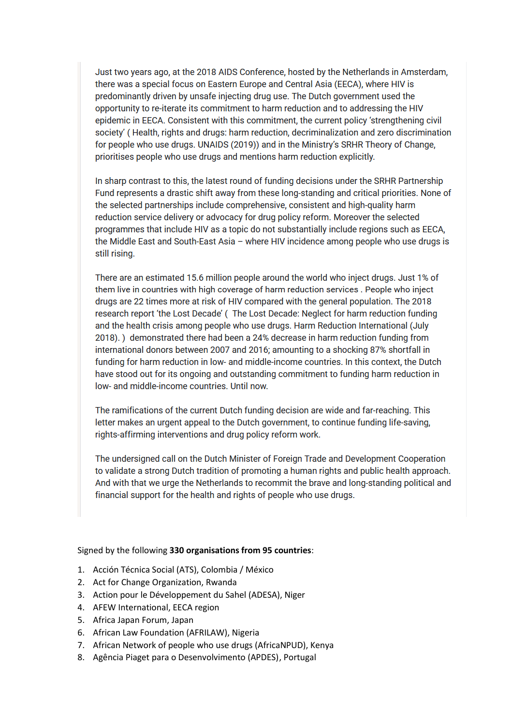Just two years ago, at the 2018 AIDS Conference, hosted by the Netherlands in Amsterdam, there was a special focus on Eastern Europe and Central Asia (EECA), where HIV is predominantly driven by unsafe injecting drug use. The Dutch government used the opportunity to re-iterate its commitment to harm reduction and to addressing the HIV epidemic in EECA. Consistent with this commitment, the current policy 'strengthening civil society' (Health, rights and drugs: harm reduction, decriminalization and zero discrimination for people who use drugs. UNAIDS (2019)) and in the Ministry's SRHR Theory of Change, prioritises people who use drugs and mentions harm reduction explicitly.

In sharp contrast to this, the latest round of funding decisions under the SRHR Partnership Fund represents a drastic shift away from these long-standing and critical priorities. None of the selected partnerships include comprehensive, consistent and high-quality harm reduction service delivery or advocacy for drug policy reform. Moreover the selected programmes that include HIV as a topic do not substantially include regions such as EECA, the Middle East and South-East Asia - where HIV incidence among people who use drugs is still rising.

There are an estimated 15.6 million people around the world who inject drugs. Just 1% of them live in countries with high coverage of harm reduction services. People who inject drugs are 22 times more at risk of HIV compared with the general population. The 2018 research report 'the Lost Decade' (The Lost Decade: Neglect for harm reduction funding and the health crisis among people who use drugs. Harm Reduction International (July 2018).) demonstrated there had been a 24% decrease in harm reduction funding from international donors between 2007 and 2016; amounting to a shocking 87% shortfall in funding for harm reduction in low- and middle-income countries. In this context, the Dutch have stood out for its ongoing and outstanding commitment to funding harm reduction in low- and middle-income countries. Until now.

The ramifications of the current Dutch funding decision are wide and far-reaching. This letter makes an urgent appeal to the Dutch government, to continue funding life-saving. rights-affirming interventions and drug policy reform work.

The undersigned call on the Dutch Minister of Foreign Trade and Development Cooperation to validate a strong Dutch tradition of promoting a human rights and public health approach. And with that we urge the Netherlands to recommit the brave and long-standing political and financial support for the health and rights of people who use drugs.

## Signed by the following **330 organisations from 95 countries**:

- 1. Acción Técnica Social (ATS), Colombia / México
- 2. Act for Change Organization, Rwanda
- 3. Action pour le Développement du Sahel (ADESA), Niger
- 4. AFEW International, EECA region
- 5. Africa Japan Forum, Japan
- 6. African Law Foundation (AFRILAW), Nigeria
- 7. African Network of people who use drugs (AfricaNPUD), Kenya
- 8. Agência Piaget para o Desenvolvimento (APDES), Portugal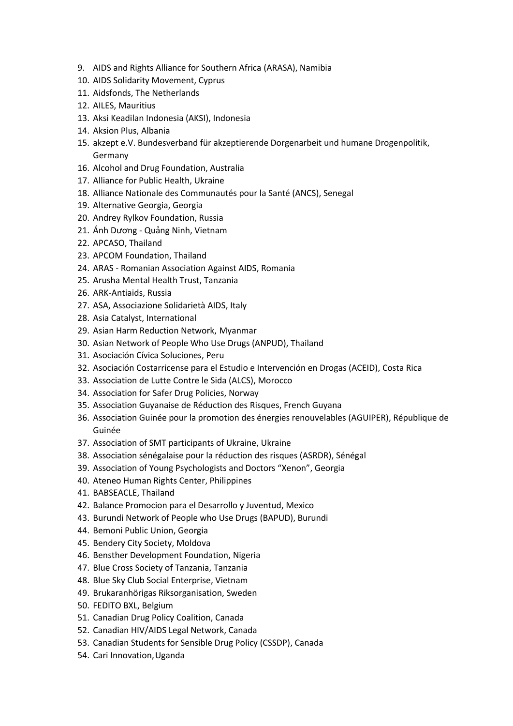- 9. AIDS and Rights Alliance for Southern Africa (ARASA), Namibia
- 10. AIDS Solidarity Movement, Cyprus
- 11. Aidsfonds, The Netherlands
- 12. AILES, Mauritius
- 13. Aksi Keadilan Indonesia (AKSI), Indonesia
- 14. Aksion Plus, Albania
- 15. akzept e.V. Bundesverband für akzeptierende Dorgenarbeit und humane Drogenpolitik, Germany
- 16. Alcohol and Drug Foundation, Australia
- 17. Alliance for Public Health, Ukraine
- 18. Alliance Nationale des Communautés pour la Santé (ANCS), Senegal
- 19. Alternative Georgia, Georgia
- 20. Andrey Rylkov Foundation, Russia
- 21. Ánh Dương Quảng Ninh, Vietnam
- 22. APCASO, Thailand
- 23. APCOM Foundation, Thailand
- 24. ARAS Romanian Association Against AIDS, Romania
- 25. Arusha Mental Health Trust, Tanzania
- 26. ARK-Antiaids, Russia
- 27. ASA, Associazione Solidarietà AIDS, Italy
- 28. Asia Catalyst, International
- 29. Asian Harm Reduction Network, Myanmar
- 30. Asian Network of People Who Use Drugs (ANPUD), Thailand
- 31. Asociación Cívica Soluciones, Peru
- 32. Asociación Costarricense para el Estudio e Intervención en Drogas (ACEID), Costa Rica
- 33. Association de Lutte Contre le Sida (ALCS), Morocco
- 34. Association for Safer Drug Policies, Norway
- 35. Association Guyanaise de Réduction des Risques, French Guyana
- 36. Association Guinée pour la promotion des énergies renouvelables (AGUIPER), République de Guinée
- 37. Association of SMT participants of Ukraine, Ukraine
- 38. Association sénégalaise pour la réduction des risques (ASRDR), Sénégal
- 39. Association of Young Psychologists and Doctors "Xenon", Georgia
- 40. Ateneo Human Rights Center, Philippines
- 41. BABSEACLE, Thailand
- 42. Balance Promocion para el Desarrollo y Juventud, Mexico
- 43. Burundi Network of People who Use Drugs (BAPUD), Burundi
- 44. Bemoni Public Union, Georgia
- 45. Bendery City Society, Moldova
- 46. Bensther Development Foundation, Nigeria
- 47. Blue Cross Society of Tanzania, Tanzania
- 48. Blue Sky Club Social Enterprise, Vietnam
- 49. Brukaranhörigas Riksorganisation, Sweden
- 50. FEDITO BXL, Belgium
- 51. Canadian Drug Policy Coalition, Canada
- 52. Canadian HIV/AIDS Legal Network, Canada
- 53. Canadian Students for Sensible Drug Policy (CSSDP), Canada
- 54. Cari Innovation,Uganda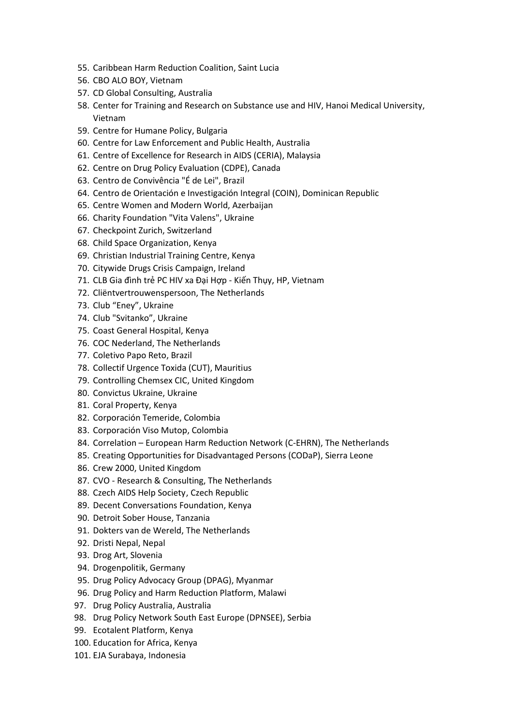- 55. Caribbean Harm Reduction Coalition, Saint Lucia
- 56. CBO ALO BOY, Vietnam
- 57. CD Global Consulting, Australia
- 58. Center for Training and Research on Substance use and HIV, Hanoi Medical University, Vietnam
- 59. Centre for Humane Policy, Bulgaria
- 60. Centre for Law Enforcement and Public Health, Australia
- 61. Centre of Excellence for Research in AIDS (CERIA), Malaysia
- 62. Centre on Drug Policy Evaluation (CDPE), Canada
- 63. Centro de Convivência "É de Lei", Brazil
- 64. Centro de Orientación e Investigación Integral (COIN), Dominican Republic
- 65. Centre Women and Modern World, Azerbaijan
- 66. Charity Foundation "Vita Valens", Ukraine
- 67. Checkpoint Zurich, Switzerland
- 68. Child Space Organization, Kenya
- 69. Christian Industrial Training Centre, Kenya
- 70. Citywide Drugs Crisis Campaign, Ireland
- 71. CLB Gia đình trẻ PC HIV xa Đại Hợp Kiến Thụy, HP, Vietnam
- 72. Cliëntvertrouwenspersoon, The Netherlands
- 73. Club "Eney", Ukraine
- 74. Club "Svitanko", Ukraine
- 75. Coast General Hospital, Kenya
- 76. COC Nederland, The Netherlands
- 77. Coletivo Papo Reto, Brazil
- 78. Collectif Urgence Toxida (CUT), Mauritius
- 79. Controlling Chemsex CIC, United Kingdom
- 80. Convictus Ukraine, Ukraine
- 81. Coral Property, Kenya
- 82. Corporación Temeride, Colombia
- 83. Corporación Viso Mutop, Colombia
- 84. Correlation European Harm Reduction Network (C-EHRN), The Netherlands
- 85. Creating Opportunities for Disadvantaged Persons (CODaP), Sierra Leone
- 86. Crew 2000, United Kingdom
- 87. CVO Research & Consulting, The Netherlands
- 88. Czech AIDS Help Society, Czech Republic
- 89. Decent Conversations Foundation, Kenya
- 90. Detroit Sober House, Tanzania
- 91. Dokters van de Wereld, The Netherlands
- 92. Dristi Nepal, Nepal
- 93. Drog Art, Slovenia
- 94. Drogenpolitik, Germany
- 95. Drug Policy Advocacy Group (DPAG), Myanmar
- 96. Drug Policy and Harm Reduction Platform, Malawi
- 97. Drug Policy Australia, Australia
- 98. Drug Policy Network South East Europe (DPNSEE), Serbia
- 99. Ecotalent Platform, Kenya
- 100. Education for Africa, Kenya
- 101. EJA Surabaya, Indonesia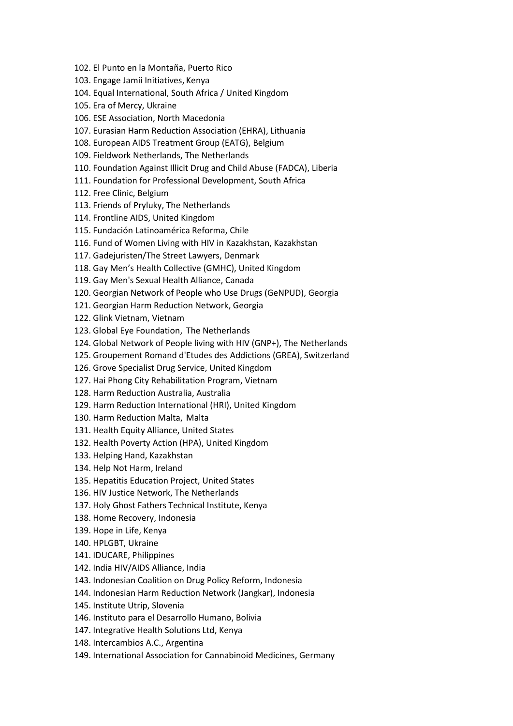- 102. El Punto en la Montaña, Puerto Rico
- 103. Engage Jamii Initiatives, Kenya
- 104. Equal International, South Africa / United Kingdom
- 105. Era of Mercy, Ukraine
- 106. ESE Association, North Macedonia
- 107. Eurasian Harm Reduction Association (EHRA), Lithuania
- 108. European AIDS Treatment Group (EATG), Belgium
- 109. Fieldwork Netherlands, The Netherlands
- 110. Foundation Against Illicit Drug and Child Abuse (FADCA), Liberia
- 111. Foundation for Professional Development, South Africa
- 112. Free Clinic, Belgium
- 113. Friends of Pryluky, The Netherlands
- 114. Frontline AIDS, United Kingdom
- 115. Fundación Latinoamérica Reforma, Chile
- 116. Fund of Women Living with HIV in Kazakhstan, Kazakhstan
- 117. Gadejuristen/The Street Lawyers, Denmark
- 118. Gay Men's Health Collective (GMHC), United Kingdom
- 119. Gay Men's Sexual Health Alliance, Canada
- 120. Georgian Network of People who Use Drugs (GeNPUD), Georgia
- 121. Georgian Harm Reduction Network, Georgia
- 122. Glink Vietnam, Vietnam
- 123. Global Eye Foundation, The Netherlands
- 124. Global Network of People living with HIV (GNP+), The Netherlands
- 125. Groupement Romand d'Etudes des Addictions (GREA), Switzerland
- 126. Grove Specialist Drug Service, United Kingdom
- 127. Hai Phong City Rehabilitation Program, Vietnam
- 128. Harm Reduction Australia, Australia
- 129. Harm Reduction International (HRI), United Kingdom
- 130. Harm Reduction Malta, Malta
- 131. Health Equity Alliance, United States
- 132. Health Poverty Action (HPA), United Kingdom
- 133. Helping Hand, Kazakhstan
- 134. Help Not Harm, Ireland
- 135. Hepatitis Education Project, United States
- 136. HIV Justice Network, The Netherlands
- 137. Holy Ghost Fathers Technical Institute, Kenya
- 138. Home Recovery, Indonesia
- 139. Hope in Life, Kenya
- 140. HPLGBT, Ukraine
- 141. IDUCARE, Philippines
- 142. India HIV/AIDS Alliance, India
- 143. Indonesian Coalition on Drug Policy Reform, Indonesia
- 144. Indonesian Harm Reduction Network (Jangkar), Indonesia
- 145. Institute Utrip, Slovenia
- 146. Instituto para el Desarrollo Humano, Bolivia
- 147. Integrative Health Solutions Ltd, Kenya
- 148. Intercambios A.C., Argentina
- 149. International Association for Cannabinoid Medicines, Germany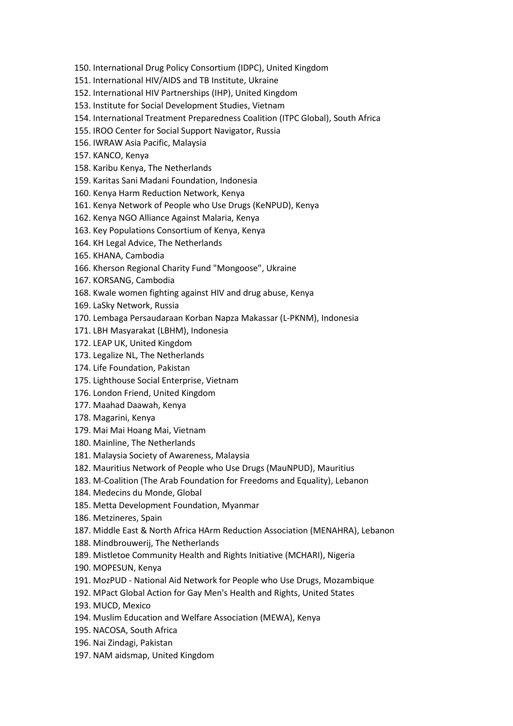- 150. International Drug Policy Consortium (IDPC), United Kingdom
- 151. International HIV/AIDS and TB Institute, Ukraine
- 152. International HIV Partnerships (IHP), United Kingdom
- 153. Institute for Social Development Studies, Vietnam
- 154. International Treatment Preparedness Coalition (ITPC Global), South Africa
- 155. IROO Center for Social Support Navigator, Russia
- 156. IWRAW Asia Pacific, Malaysia
- 157. KANCO, Kenya
- 158. Karibu Kenya, The Netherlands
- 159. Karitas Sani Madani Foundation, Indonesia
- 160. Kenya Harm Reduction Network, Kenya
- 161. Kenya Network of People who Use Drugs (KeNPUD), Kenya
- 162. Kenya NGO Alliance Against Malaria, Kenya
- 163. Key Populations Consortium of Kenya, Kenya
- 164. KH Legal Advice, The Netherlands
- 165. KHANA, Cambodia
- 166. Kherson Regional Charity Fund "Mongoose", Ukraine
- 167. KORSANG, Cambodia
- 168. Kwale women fighting against HIV and drug abuse, Kenya
- 169. LaSky Network, Russia
- 170. Lembaga Persaudaraan Korban Napza Makassar (L-PKNM), Indonesia
- 171. LBH Masyarakat (LBHM), Indonesia
- 172. LEAP UK, United Kingdom
- 173. Legalize NL, The Netherlands
- 174. Life Foundation, Pakistan
- 175. Lighthouse Social Enterprise, Vietnam
- 176. London Friend, United Kingdom
- 177. Maahad Daawah, Kenya
- 178. Magarini, Kenya
- 179. Mai Mai Hoang Mai, Vietnam
- 180. Mainline, The Netherlands
- 181. Malaysia Society of Awareness, Malaysia
- 182. Mauritius Network of People who Use Drugs (MauNPUD), Mauritius
- 183. M-Coalition (The Arab Foundation for Freedoms and Equality), Lebanon
- 184. Medecins du Monde, Global
- 185. Metta Development Foundation, Myanmar
- 186. Metzineres, Spain
- 187. Middle East & North Africa HArm Reduction Association (MENAHRA), Lebanon
- 188. Mindbrouwerij, The Netherlands
- 189. Mistletoe Community Health and Rights Initiative (MCHARI), Nigeria
- 190. MOPESUN, Kenya
- 191. MozPUD National Aid Network for People who Use Drugs, Mozambique
- 192. MPact Global Action for Gay Men's Health and Rights, United States
- 193. MUCD, Mexico
- 194. Muslim Education and Welfare Association (MEWA), Kenya
- 195. NACOSA, South Africa
- 196. Nai Zindagi, Pakistan
- 197. NAM aidsmap, United Kingdom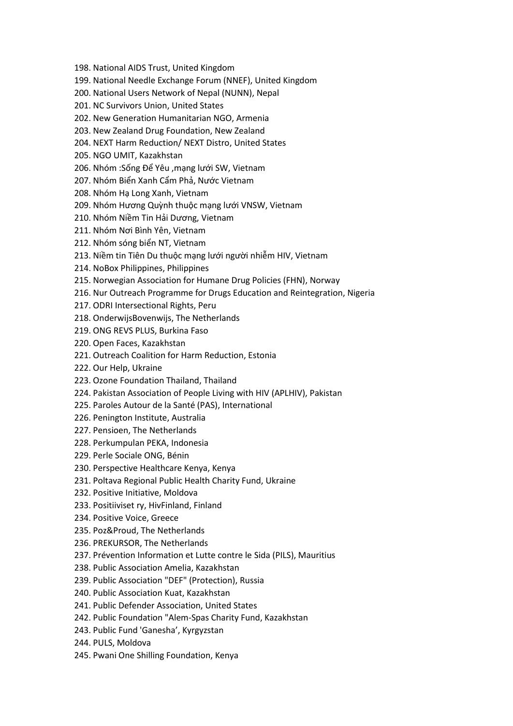- 198. National AIDS Trust, United Kingdom
- 199. National Needle Exchange Forum (NNEF), United Kingdom
- 200. National Users Network of Nepal (NUNN), Nepal
- 201. NC Survivors Union, United States
- 202. New Generation Humanitarian NGO, Armenia
- 203. New Zealand Drug Foundation, New Zealand
- 204. NEXT Harm Reduction/ NEXT Distro, United States
- 205. NGO UMIT, Kazakhstan
- 206. Nhóm :Sống Để Yêu ,mạng lưới SW, Vietnam
- 207. Nhóm Biển Xanh Cẩm Phả, Nước Vietnam
- 208. Nhóm Hạ Long Xanh, Vietnam
- 209. Nhóm Hương Quỳnh thuộc mạng lưới VNSW, Vietnam
- 210. Nhóm Niềm Tin Hải Dương, Vietnam
- 211. Nhóm Nơi Bình Yên, Vietnam
- 212. Nhóm sóng biển NT, Vietnam
- 213. Niềm tin Tiên Du thuộc mạng lưới người nhiễm HIV, Vietnam
- 214. NoBox Philippines, Philippines
- 215. Norwegian Association for Humane Drug Policies (FHN), Norway
- 216. Nur Outreach Programme for Drugs Education and Reintegration, Nigeria
- 217. ODRI Intersectional Rights, Peru
- 218. OnderwijsBovenwijs, The Netherlands
- 219. ONG REVS PLUS, Burkina Faso
- 220. Open Faces, Kazakhstan
- 221. Outreach Coalition for Harm Reduction, Estonia
- 222. Our Help, Ukraine
- 223. Ozone Foundation Thailand, Thailand
- 224. Pakistan Association of People Living with HIV (APLHIV), Pakistan
- 225. Paroles Autour de la Santé (PAS), International
- 226. Penington Institute, Australia
- 227. Pensioen, The Netherlands
- 228. Perkumpulan PEKA, Indonesia
- 229. Perle Sociale ONG, Bénin
- 230. Perspective Healthcare Kenya, Kenya
- 231. Poltava Regional Public Health Charity Fund, Ukraine
- 232. Positive Initiative, Moldova
- 233. Positiiviset ry, HivFinland, Finland
- 234. Positive Voice, Greece
- 235. Poz&Proud, The Netherlands
- 236. PREKURSOR, The Netherlands
- 237. Prévention Information et Lutte contre le Sida (PILS), Mauritius
- 238. Public Association Amelia, Kazakhstan
- 239. Public Association "DEF" (Protection), Russia
- 240. Public Association Kuat, Kazakhstan
- 241. Public Defender Association, United States
- 242. Public Foundation "Alem-Spas Charity Fund, Kazakhstan
- 243. Public Fund 'Ganesha', Kyrgyzstan
- 244. PULS, Moldova
- 245. Pwani One Shilling Foundation, Kenya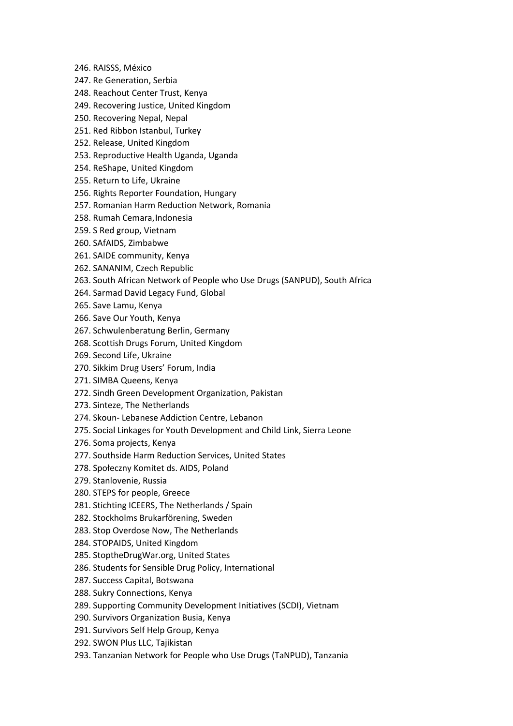- 246. RAISSS, México
- 247. Re Generation, Serbia
- 248. Reachout Center Trust, Kenya
- 249. Recovering Justice, United Kingdom
- 250. Recovering Nepal, Nepal
- 251. Red Ribbon Istanbul, Turkey
- 252. Release, United Kingdom
- 253. Reproductive Health Uganda, Uganda
- 254. ReShape, United Kingdom
- 255. Return to Life, Ukraine
- 256. Rights Reporter Foundation, Hungary
- 257. Romanian Harm Reduction Network, Romania
- 258. Rumah Cemara,Indonesia
- 259. S Red group, Vietnam
- 260. SAfAIDS, Zimbabwe
- 261. SAIDE community, Kenya
- 262. SANANIM, Czech Republic
- 263. South African Network of People who Use Drugs (SANPUD), South Africa
- 264. Sarmad David Legacy Fund, Global
- 265. Save Lamu, Kenya
- 266. Save Our Youth, Kenya
- 267. Schwulenberatung Berlin, Germany
- 268. Scottish Drugs Forum, United Kingdom
- 269. Second Life, Ukraine
- 270. Sikkim Drug Users' Forum, India
- 271. SIMBA Queens, Kenya
- 272. Sindh Green Development Organization, Pakistan
- 273. Sinteze, The Netherlands
- 274. Skoun- Lebanese Addiction Centre, Lebanon
- 275. Social Linkages for Youth Development and Child Link, Sierra Leone
- 276. Soma projects, Kenya
- 277. Southside Harm Reduction Services, United States
- 278. Społeczny Komitet ds. AIDS, Poland
- 279. Stanlovenie, Russia
- 280. STEPS for people, Greece
- 281. Stichting ICEERS, The Netherlands / Spain
- 282. Stockholms Brukarförening, Sweden
- 283. Stop Overdose Now, The Netherlands
- 284. STOPAIDS, United Kingdom
- 285. StoptheDrugWar.org, United States
- 286. Students for Sensible Drug Policy, International
- 287. Success Capital, Botswana
- 288. Sukry Connections, Kenya
- 289. Supporting Community Development Initiatives (SCDI), Vietnam
- 290. Survivors Organization Busia, Kenya
- 291. Survivors Self Help Group, Kenya
- 292. SWON Plus LLC, Tajikistan
- 293. Tanzanian Network for People who Use Drugs (TaNPUD), Tanzania